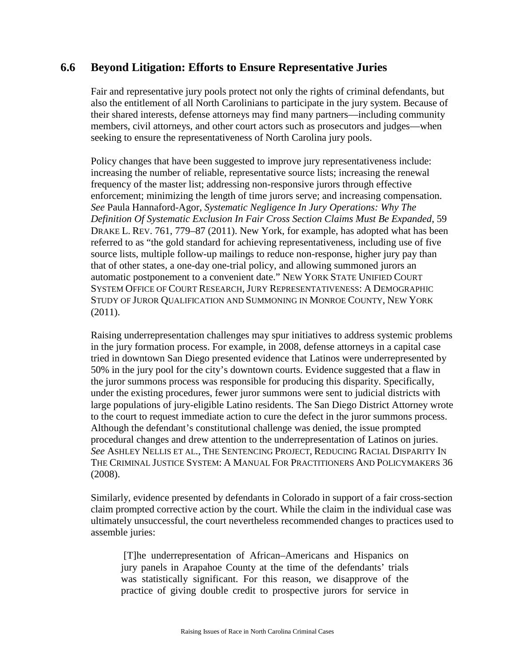## **6.6 Beyond Litigation: Efforts to Ensure Representative Juries**

Fair and representative jury pools protect not only the rights of criminal defendants, but also the entitlement of all North Carolinians to participate in the jury system. Because of their shared interests, defense attorneys may find many partners—including community members, civil attorneys, and other court actors such as prosecutors and judges—when seeking to ensure the representativeness of North Carolina jury pools.

Policy changes that have been suggested to improve jury representativeness include: increasing the number of reliable, representative source lists; increasing the renewal frequency of the master list; addressing non-responsive jurors through effective enforcement; minimizing the length of time jurors serve; and increasing compensation. *See* Paula Hannaford-Agor, *Systematic Negligence In Jury Operations: Why The Definition Of Systematic Exclusion In Fair Cross Section Claims Must Be Expanded*, 59 DRAKE L. REV. 761, 779–87 (2011). New York, for example, has adopted what has been referred to as "the gold standard for achieving representativeness, including use of five source lists, multiple follow-up mailings to reduce non-response, higher jury pay than that of other states, a one-day one-trial policy, and allowing summoned jurors an automatic postponement to a convenient date." NEW YORK STATE UNIFIED COURT SYSTEM OFFICE OF COURT RESEARCH, JURY REPRESENTATIVENESS: A DEMOGRAPHIC STUDY OF JUROR QUALIFICATION AND SUMMONING IN MONROE COUNTY, NEW YORK (2011).

Raising underrepresentation challenges may spur initiatives to address systemic problems in the jury formation process. For example, in 2008, defense attorneys in a capital case tried in downtown San Diego presented evidence that Latinos were underrepresented by 50% in the jury pool for the city's downtown courts. Evidence suggested that a flaw in the juror summons process was responsible for producing this disparity. Specifically, under the existing procedures, fewer juror summons were sent to judicial districts with large populations of jury-eligible Latino residents. The San Diego District Attorney wrote to the court to request immediate action to cure the defect in the juror summons process. Although the defendant's constitutional challenge was denied, the issue prompted procedural changes and drew attention to the underrepresentation of Latinos on juries. *See* ASHLEY NELLIS ET AL., THE SENTENCING PROJECT, REDUCING RACIAL DISPARITY IN THE CRIMINAL JUSTICE SYSTEM: A MANUAL FOR PRACTITIONERS AND POLICYMAKERS 36 (2008).

Similarly, evidence presented by defendants in Colorado in support of a fair cross-section claim prompted corrective action by the court. While the claim in the individual case was ultimately unsuccessful, the court nevertheless recommended changes to practices used to assemble juries:

[T]he underrepresentation of African–Americans and Hispanics on jury panels in Arapahoe County at the time of the defendants' trials was statistically significant. For this reason, we disapprove of the practice of giving double credit to prospective jurors for service in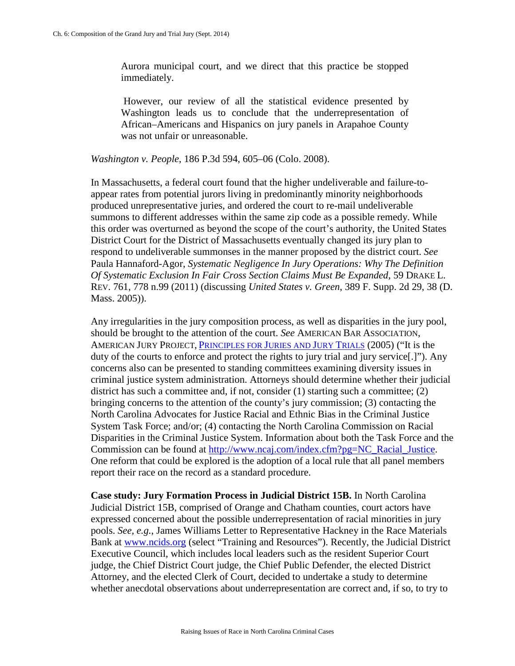Aurora municipal court, and we direct that this practice be stopped immediately.

However, our review of all the statistical evidence presented by Washington leads us to conclude that the underrepresentation of African–Americans and Hispanics on jury panels in Arapahoe County was not unfair or unreasonable.

*Washington v. People*, 186 P.3d 594, 605–06 (Colo. 2008).

In Massachusetts, a federal court found that the higher undeliverable and failure-toappear rates from potential jurors living in predominantly minority neighborhoods produced unrepresentative juries, and ordered the court to re-mail undeliverable summons to different addresses within the same zip code as a possible remedy. While this order was overturned as beyond the scope of the court's authority, the United States District Court for the District of Massachusetts eventually changed its jury plan to respond to undeliverable summonses in the manner proposed by the district court. *See* Paula Hannaford-Agor, *Systematic Negligence In Jury Operations: Why The Definition Of Systematic Exclusion In Fair Cross Section Claims Must Be Expanded*, 59 DRAKE L. REV. 761, 778 n.99 (2011) (discussing *United States v. Green*, 389 F. Supp. 2d 29, 38 (D. Mass. 2005)).

Any irregularities in the jury composition process, as well as disparities in the jury pool, should be brought to the attention of the court. *See* AMERICAN BAR ASSOCIATION, AMERICAN JURY PROJECT, [PRINCIPLES FOR JURIES AND JURY TRIALS](http://www.americanbar.org/content/dam/aba/migrated/juryprojectstandards/principles.authcheckdam.pdf) (2005) ("It is the duty of the courts to enforce and protect the rights to jury trial and jury service.]"). Any concerns also can be presented to standing committees examining diversity issues in criminal justice system administration. Attorneys should determine whether their judicial district has such a committee and, if not, consider (1) starting such a committee; (2) bringing concerns to the attention of the county's jury commission; (3) contacting the North Carolina Advocates for Justice Racial and Ethnic Bias in the Criminal Justice System Task Force; and/or; (4) contacting the North Carolina Commission on Racial Disparities in the Criminal Justice System. Information about both the Task Force and the Commission can be found at [http://www.ncaj.com/index.cfm?pg=NC\\_Racial\\_Justice.](http://www.ncaj.com/index.cfm?pg=NC_Racial_Justice) One reform that could be explored is the adoption of a local rule that all panel members report their race on the record as a standard procedure.

**Case study: Jury Formation Process in Judicial District 15B.** In North Carolina Judicial District 15B, comprised of Orange and Chatham counties, court actors have expressed concerned about the possible underrepresentation of racial minorities in jury pools. *See, e.g.*, James Williams Letter to Representative Hackney in the Race Materials Bank at [www.ncids.org](http://www.ncids.org/) (select "Training and Resources"). Recently, the Judicial District Executive Council, which includes local leaders such as the resident Superior Court judge, the Chief District Court judge, the Chief Public Defender, the elected District Attorney, and the elected Clerk of Court, decided to undertake a study to determine whether anecdotal observations about underrepresentation are correct and, if so, to try to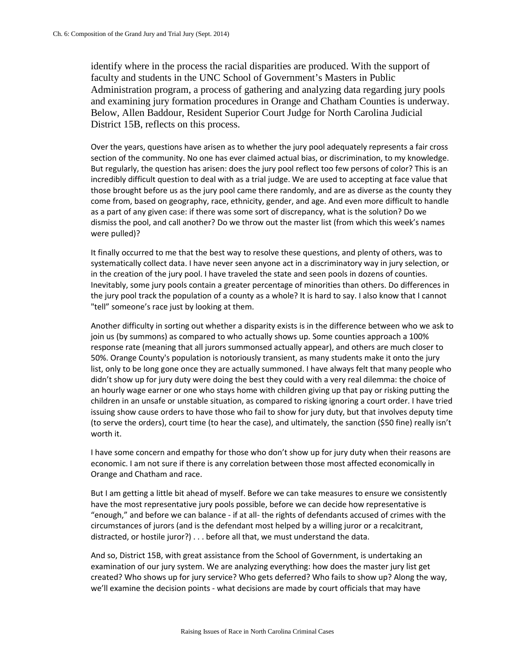identify where in the process the racial disparities are produced. With the support of faculty and students in the UNC School of Government's Masters in Public Administration program, a process of gathering and analyzing data regarding jury pools and examining jury formation procedures in Orange and Chatham Counties is underway. Below, Allen Baddour, Resident Superior Court Judge for North Carolina Judicial District 15B, reflects on this process.

Over the years, questions have arisen as to whether the jury pool adequately represents a fair cross section of the community. No one has ever claimed actual bias, or discrimination, to my knowledge. But regularly, the question has arisen: does the jury pool reflect too few persons of color? This is an incredibly difficult question to deal with as a trial judge. We are used to accepting at face value that those brought before us as the jury pool came there randomly, and are as diverse as the county they come from, based on geography, race, ethnicity, gender, and age. And even more difficult to handle as a part of any given case: if there was some sort of discrepancy, what is the solution? Do we dismiss the pool, and call another? Do we throw out the master list (from which this week's names were pulled)?

It finally occurred to me that the best way to resolve these questions, and plenty of others, was to systematically collect data. I have never seen anyone act in a discriminatory way in jury selection, or in the creation of the jury pool. I have traveled the state and seen pools in dozens of counties. Inevitably, some jury pools contain a greater percentage of minorities than others. Do differences in the jury pool track the population of a county as a whole? It is hard to say. I also know that I cannot "tell" someone's race just by looking at them.

Another difficulty in sorting out whether a disparity exists is in the difference between who we ask to join us (by summons) as compared to who actually shows up. Some counties approach a 100% response rate (meaning that all jurors summonsed actually appear), and others are much closer to 50%. Orange County's population is notoriously transient, as many students make it onto the jury list, only to be long gone once they are actually summoned. I have always felt that many people who didn't show up for jury duty were doing the best they could with a very real dilemma: the choice of an hourly wage earner or one who stays home with children giving up that pay or risking putting the children in an unsafe or unstable situation, as compared to risking ignoring a court order. I have tried issuing show cause orders to have those who fail to show for jury duty, but that involves deputy time (to serve the orders), court time (to hear the case), and ultimately, the sanction (\$50 fine) really isn't worth it.

I have some concern and empathy for those who don't show up for jury duty when their reasons are economic. I am not sure if there is any correlation between those most affected economically in Orange and Chatham and race.

But I am getting a little bit ahead of myself. Before we can take measures to ensure we consistently have the most representative jury pools possible, before we can decide how representative is "enough," and before we can balance - if at all- the rights of defendants accused of crimes with the circumstances of jurors (and is the defendant most helped by a willing juror or a recalcitrant, distracted, or hostile juror?) . . . before all that, we must understand the data.

And so, District 15B, with great assistance from the School of Government, is undertaking an examination of our jury system. We are analyzing everything: how does the master jury list get created? Who shows up for jury service? Who gets deferred? Who fails to show up? Along the way, we'll examine the decision points - what decisions are made by court officials that may have